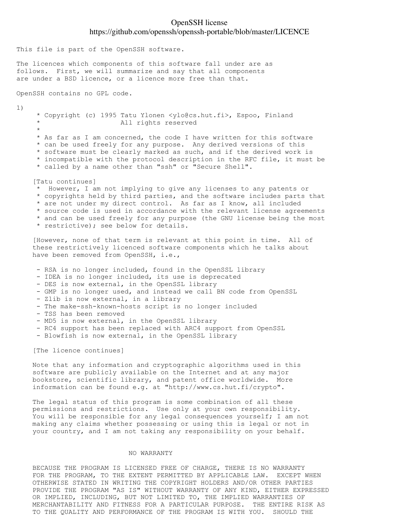# OpenSSH license https://github.com/openssh/openssh-portable/blob/master/LICENCE

This file is part of the OpenSSH software.

The licences which components of this software fall under are as follows. First, we will summarize and say that all components are under a BSD licence, or a licence more free than that.

OpenSSH contains no GPL code.

1)

 \* Copyright (c) 1995 Tatu Ylonen <ylo@cs.hut.fi>, Espoo, Finland All rights reserved  $\star$  \* As far as I am concerned, the code I have written for this software \* can be used freely for any purpose. Any derived versions of this \* software must be clearly marked as such, and if the derived work is \* incompatible with the protocol description in the RFC file, it must be \* called by a name other than "ssh" or "Secure Shell". [Tatu continues] \* However, I am not implying to give any licenses to any patents or \* copyrights held by third parties, and the software includes parts that \* are not under my direct control. As far as I know, all included \* source code is used in accordance with the relevant license agreements

\* and can be used freely for any purpose (the GNU license being the most

\* restrictive); see below for details.

 [However, none of that term is relevant at this point in time. All of these restrictively licenced software components which he talks about have been removed from OpenSSH, i.e.,

- RSA is no longer included, found in the OpenSSL library
- IDEA is no longer included, its use is deprecated
- DES is now external, in the OpenSSL library
- GMP is no longer used, and instead we call BN code from OpenSSL
- Zlib is now external, in a library
- The make-ssh-known-hosts script is no longer included
- TSS has been removed
- MD5 is now external, in the OpenSSL library
- RC4 support has been replaced with ARC4 support from OpenSSL
- Blowfish is now external, in the OpenSSL library

[The licence continues]

 Note that any information and cryptographic algorithms used in this software are publicly available on the Internet and at any major bookstore, scientific library, and patent office worldwide. More information can be found e.g. at "http://www.cs.hut.fi/crypto".

 The legal status of this program is some combination of all these permissions and restrictions. Use only at your own responsibility. You will be responsible for any legal consequences yourself; I am not making any claims whether possessing or using this is legal or not in your country, and I am not taking any responsibility on your behalf.

## NO WARRANTY

 BECAUSE THE PROGRAM IS LICENSED FREE OF CHARGE, THERE IS NO WARRANTY FOR THE PROGRAM, TO THE EXTENT PERMITTED BY APPLICABLE LAW. EXCEPT WHEN OTHERWISE STATED IN WRITING THE COPYRIGHT HOLDERS AND/OR OTHER PARTIES PROVIDE THE PROGRAM "AS IS" WITHOUT WARRANTY OF ANY KIND, EITHER EXPRESSED OR IMPLIED, INCLUDING, BUT NOT LIMITED TO, THE IMPLIED WARRANTIES OF MERCHANTABILITY AND FITNESS FOR A PARTICULAR PURPOSE. THE ENTIRE RISK AS TO THE QUALITY AND PERFORMANCE OF THE PROGRAM IS WITH YOU. SHOULD THE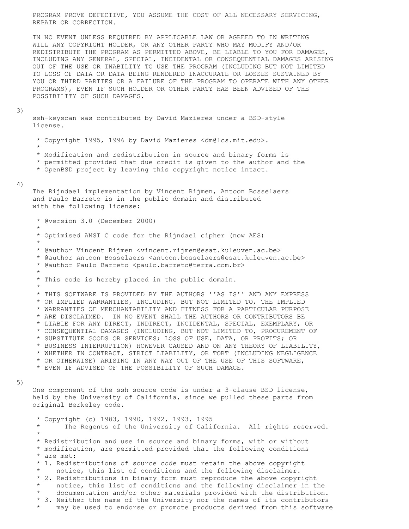PROGRAM PROVE DEFECTIVE, YOU ASSUME THE COST OF ALL NECESSARY SERVICING, REPAIR OR CORRECTION.

 IN NO EVENT UNLESS REQUIRED BY APPLICABLE LAW OR AGREED TO IN WRITING WILL ANY COPYRIGHT HOLDER, OR ANY OTHER PARTY WHO MAY MODIFY AND/OR REDISTRIBUTE THE PROGRAM AS PERMITTED ABOVE, BE LIABLE TO YOU FOR DAMAGES, INCLUDING ANY GENERAL, SPECIAL, INCIDENTAL OR CONSEQUENTIAL DAMAGES ARISING OUT OF THE USE OR INABILITY TO USE THE PROGRAM (INCLUDING BUT NOT LIMITED TO LOSS OF DATA OR DATA BEING RENDERED INACCURATE OR LOSSES SUSTAINED BY YOU OR THIRD PARTIES OR A FAILURE OF THE PROGRAM TO OPERATE WITH ANY OTHER PROGRAMS), EVEN IF SUCH HOLDER OR OTHER PARTY HAS BEEN ADVISED OF THE POSSIBILITY OF SUCH DAMAGES.

## 3)

 ssh-keyscan was contributed by David Mazieres under a BSD-style license.

\* Copyright 1995, 1996 by David Mazieres <dm@lcs.mit.edu>.

 $\star$ 

\* Modification and redistribution in source and binary forms is

- \* permitted provided that due credit is given to the author and the
- \* OpenBSD project by leaving this copyright notice intact.

### 4)

 The Rijndael implementation by Vincent Rijmen, Antoon Bosselaers and Paulo Barreto is in the public domain and distributed with the following license:

 \* @version 3.0 (December 2000)  $\star$  \* Optimised ANSI C code for the Rijndael cipher (now AES)  $\star$  \* @author Vincent Rijmen <vincent.rijmen@esat.kuleuven.ac.be> \* @author Antoon Bosselaers <antoon.bosselaers@esat.kuleuven.ac.be> \* @author Paulo Barreto <paulo.barreto@terra.com.br>  $\star$  \* This code is hereby placed in the public domain.  $\star$  \* THIS SOFTWARE IS PROVIDED BY THE AUTHORS ''AS IS'' AND ANY EXPRESS \* OR IMPLIED WARRANTIES, INCLUDING, BUT NOT LIMITED TO, THE IMPLIED \* WARRANTIES OF MERCHANTABILITY AND FITNESS FOR A PARTICULAR PURPOSE \* ARE DISCLAIMED. IN NO EVENT SHALL THE AUTHORS OR CONTRIBUTORS BE \* LIABLE FOR ANY DIRECT, INDIRECT, INCIDENTAL, SPECIAL, EXEMPLARY, OR \* CONSEQUENTIAL DAMAGES (INCLUDING, BUT NOT LIMITED TO, PROCUREMENT OF \* SUBSTITUTE GOODS OR SERVICES; LOSS OF USE, DATA, OR PROFITS; OR \* BUSINESS INTERRUPTION) HOWEVER CAUSED AND ON ANY THEORY OF LIABILITY, \* WHETHER IN CONTRACT, STRICT LIABILITY, OR TORT (INCLUDING NEGLIGENCE \* OR OTHERWISE) ARISING IN ANY WAY OUT OF THE USE OF THIS SOFTWARE, \* EVEN IF ADVISED OF THE POSSIBILITY OF SUCH DAMAGE.

### 5)

 One component of the ssh source code is under a 3-clause BSD license, held by the University of California, since we pulled these parts from original Berkeley code.

\* Copyright (c) 1983, 1990, 1992, 1993, 1995

- The Regents of the University of California. All rights reserved.  $\star$ 
	- \* Redistribution and use in source and binary forms, with or without
	- \* modification, are permitted provided that the following conditions \* are met:
	- \* 1. Redistributions of source code must retain the above copyright
	- notice, this list of conditions and the following disclaimer. \* 2. Redistributions in binary form must reproduce the above copyright
	- notice, this list of conditions and the following disclaimer in the
	- documentation and/or other materials provided with the distribution.
	- \* 3. Neither the name of the University nor the names of its contributors
	- may be used to endorse or promote products derived from this software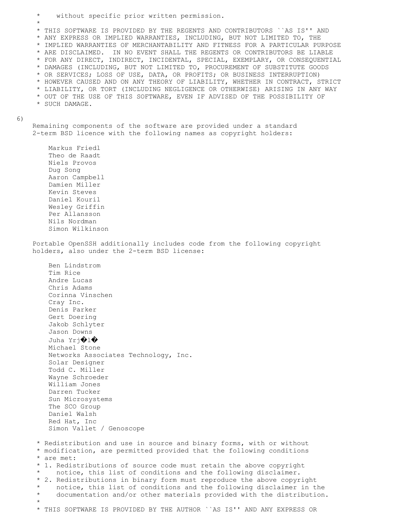$\star$  \* THIS SOFTWARE IS PROVIDED BY THE REGENTS AND CONTRIBUTORS ``AS IS'' AND \* ANY EXPRESS OR IMPLIED WARRANTIES, INCLUDING, BUT NOT LIMITED TO, THE \* IMPLIED WARRANTIES OF MERCHANTABILITY AND FITNESS FOR A PARTICULAR PURPOSE \* ARE DISCLAIMED. IN NO EVENT SHALL THE REGENTS OR CONTRIBUTORS BE LIABLE \* FOR ANY DIRECT, INDIRECT, INCIDENTAL, SPECIAL, EXEMPLARY, OR CONSEQUENTIAL \* DAMAGES (INCLUDING, BUT NOT LIMITED TO, PROCUREMENT OF SUBSTITUTE GOODS \* OR SERVICES; LOSS OF USE, DATA, OR PROFITS; OR BUSINESS INTERRUPTION) \* HOWEVER CAUSED AND ON ANY THEORY OF LIABILITY, WHETHER IN CONTRACT, STRICT \* LIABILITY, OR TORT (INCLUDING NEGLIGENCE OR OTHERWISE) ARISING IN ANY WAY \* OUT OF THE USE OF THIS SOFTWARE, EVEN IF ADVISED OF THE POSSIBILITY OF \* SUCH DAMAGE. Remaining components of the software are provided under a standard 2-term BSD licence with the following names as copyright holders: Markus Friedl Theo de Raadt Niels Provos Dug Song Aaron Campbell Damien Miller Kevin Steves Daniel Kouril Wesley Griffin Per Allansson Nils Nordman Simon Wilkinson Portable OpenSSH additionally includes code from the following copyright holders, also under the 2-term BSD license: Ben Lindstrom Tim Rice Andre Lucas Chris Adams Corinna Vinschen Cray Inc. Denis Parker Gert Doering Jakob Schlyter Jason Downs Juha Yrj�l� Michael Stone Networks Associates Technology, Inc. Solar Designer Todd C. Miller Wayne Schroeder William Jones Darren Tucker Sun Microsystems The SCO Group Daniel Walsh Red Hat, Inc Simon Vallet / Genoscope \* Redistribution and use in source and binary forms, with or without \* modification, are permitted provided that the following conditions \* are met: \* 1. Redistributions of source code must retain the above copyright notice, this list of conditions and the following disclaimer. \* 2. Redistributions in binary form must reproduce the above copyright notice, this list of conditions and the following disclaimer in the documentation and/or other materials provided with the distribution.  $\star$ 

without specific prior written permission.

6)

\* THIS SOFTWARE IS PROVIDED BY THE AUTHOR ``AS IS'' AND ANY EXPRESS OR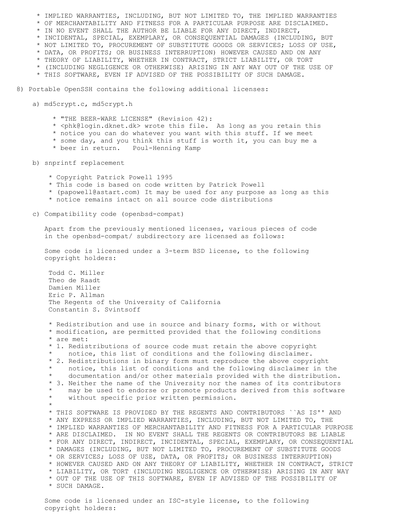\* IMPLIED WARRANTIES, INCLUDING, BUT NOT LIMITED TO, THE IMPLIED WARRANTIES \* OF MERCHANTABILITY AND FITNESS FOR A PARTICULAR PURPOSE ARE DISCLAIMED. \* IN NO EVENT SHALL THE AUTHOR BE LIABLE FOR ANY DIRECT, INDIRECT, \* INCIDENTAL, SPECIAL, EXEMPLARY, OR CONSEQUENTIAL DAMAGES (INCLUDING, BUT \* NOT LIMITED TO, PROCUREMENT OF SUBSTITUTE GOODS OR SERVICES; LOSS OF USE, \* DATA, OR PROFITS; OR BUSINESS INTERRUPTION) HOWEVER CAUSED AND ON ANY \* THEORY OF LIABILITY, WHETHER IN CONTRACT, STRICT LIABILITY, OR TORT \* (INCLUDING NEGLIGENCE OR OTHERWISE) ARISING IN ANY WAY OUT OF THE USE OF \* THIS SOFTWARE, EVEN IF ADVISED OF THE POSSIBILITY OF SUCH DAMAGE. 8) Portable OpenSSH contains the following additional licenses:

a) md5crypt.c, md5crypt.h

\* "THE BEER-WARE LICENSE" (Revision 42):

- \* <phk@login.dknet.dk> wrote this file. As long as you retain this
- \* notice you can do whatever you want with this stuff. If we meet
- \* some day, and you think this stuff is worth it, you can buy me a
- \* beer in return. Poul-Henning Kamp

b) snprintf replacement

- \* Copyright Patrick Powell 1995
- \* This code is based on code written by Patrick Powell
- \* (papowell@astart.com) It may be used for any purpose as long as this
- \* notice remains intact on all source code distributions
- c) Compatibility code (openbsd-compat)

 Apart from the previously mentioned licenses, various pieces of code in the openbsd-compat/ subdirectory are licensed as follows:

 Some code is licensed under a 3-term BSD license, to the following copyright holders:

Todd C. Miller Theo de Raadt Damien Miller Eric P. Allman The Regents of the University of California Constantin S. Svintsoff

\* Redistribution and use in source and binary forms, with or without \* modification, are permitted provided that the following conditions \* are met: \* 1. Redistributions of source code must retain the above copyright notice, this list of conditions and the following disclaimer. \* 2. Redistributions in binary form must reproduce the above copyright notice, this list of conditions and the following disclaimer in the documentation and/or other materials provided with the distribution. \* 3. Neither the name of the University nor the names of its contributors may be used to endorse or promote products derived from this software without specific prior written permission. \* \* THIS SOFTWARE IS PROVIDED BY THE REGENTS AND CONTRIBUTORS ``AS IS'' AND \* ANY EXPRESS OR IMPLIED WARRANTIES, INCLUDING, BUT NOT LIMITED TO, THE \* IMPLIED WARRANTIES OF MERCHANTABILITY AND FITNESS FOR A PARTICULAR PURPOSE \* ARE DISCLAIMED. IN NO EVENT SHALL THE REGENTS OR CONTRIBUTORS BE LIABLE \* FOR ANY DIRECT, INDIRECT, INCIDENTAL, SPECIAL, EXEMPLARY, OR CONSEQUENTIAL \* DAMAGES (INCLUDING, BUT NOT LIMITED TO, PROCUREMENT OF SUBSTITUTE GOODS \* OR SERVICES; LOSS OF USE, DATA, OR PROFITS; OR BUSINESS INTERRUPTION) \* HOWEVER CAUSED AND ON ANY THEORY OF LIABILITY, WHETHER IN CONTRACT, STRICT \* LIABILITY, OR TORT (INCLUDING NEGLIGENCE OR OTHERWISE) ARISING IN ANY WAY \* OUT OF THE USE OF THIS SOFTWARE, EVEN IF ADVISED OF THE POSSIBILITY OF \* SUCH DAMAGE.

 Some code is licensed under an ISC-style license, to the following copyright holders: